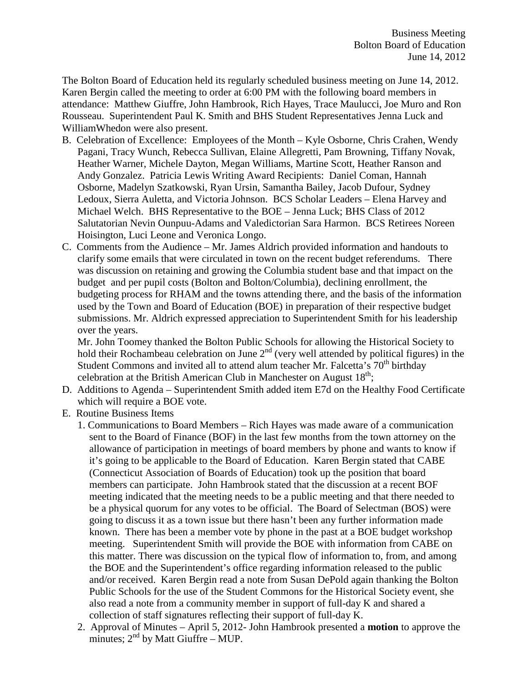The Bolton Board of Education held its regularly scheduled business meeting on June 14, 2012. Karen Bergin called the meeting to order at 6:00 PM with the following board members in attendance: Matthew Giuffre, John Hambrook, Rich Hayes, Trace Maulucci, Joe Muro and Ron Rousseau. Superintendent Paul K. Smith and BHS Student Representatives Jenna Luck and WilliamWhedon were also present.

- B. Celebration of Excellence: Employees of the Month Kyle Osborne, Chris Crahen, Wendy Pagani, Tracy Wunch, Rebecca Sullivan, Elaine Allegretti, Pam Browning, Tiffany Novak, Heather Warner, Michele Dayton, Megan Williams, Martine Scott, Heather Ranson and Andy Gonzalez. Patricia Lewis Writing Award Recipients: Daniel Coman, Hannah Osborne, Madelyn Szatkowski, Ryan Ursin, Samantha Bailey, Jacob Dufour, Sydney Ledoux, Sierra Auletta, and Victoria Johnson. BCS Scholar Leaders – Elena Harvey and Michael Welch. BHS Representative to the BOE – Jenna Luck; BHS Class of 2012 Salutatorian Nevin Ounpuu-Adams and Valedictorian Sara Harmon. BCS Retirees Noreen Hoisington, Luci Leone and Veronica Longo.
- C. Comments from the Audience Mr. James Aldrich provided information and handouts to clarify some emails that were circulated in town on the recent budget referendums. There was discussion on retaining and growing the Columbia student base and that impact on the budget and per pupil costs (Bolton and Bolton/Columbia), declining enrollment, the budgeting process for RHAM and the towns attending there, and the basis of the information used by the Town and Board of Education (BOE) in preparation of their respective budget submissions. Mr. Aldrich expressed appreciation to Superintendent Smith for his leadership over the years.

Mr. John Toomey thanked the Bolton Public Schools for allowing the Historical Society to hold their Rochambeau celebration on June  $2<sup>nd</sup>$  (very well attended by political figures) in the Student Commons and invited all to attend alum teacher Mr. Falcetta's  $70<sup>th</sup>$  birthday celebration at the British American Club in Manchester on August  $18<sup>th</sup>$ ;

- D. Additions to Agenda Superintendent Smith added item E7d on the Healthy Food Certificate which will require a BOE vote.
- E. Routine Business Items
	- 1. Communications to Board Members Rich Hayes was made aware of a communication sent to the Board of Finance (BOF) in the last few months from the town attorney on the allowance of participation in meetings of board members by phone and wants to know if it's going to be applicable to the Board of Education. Karen Bergin stated that CABE (Connecticut Association of Boards of Education) took up the position that board members can participate. John Hambrook stated that the discussion at a recent BOF meeting indicated that the meeting needs to be a public meeting and that there needed to be a physical quorum for any votes to be official. The Board of Selectman (BOS) were going to discuss it as a town issue but there hasn't been any further information made known. There has been a member vote by phone in the past at a BOE budget workshop meeting. Superintendent Smith will provide the BOE with information from CABE on this matter. There was discussion on the typical flow of information to, from, and among the BOE and the Superintendent's office regarding information released to the public and/or received. Karen Bergin read a note from Susan DePold again thanking the Bolton Public Schools for the use of the Student Commons for the Historical Society event, she also read a note from a community member in support of full-day K and shared a collection of staff signatures reflecting their support of full-day K.
	- 2. Approval of Minutes April 5, 2012- John Hambrook presented a **motion** to approve the minutes;  $2<sup>nd</sup>$  by Matt Giuffre – MUP.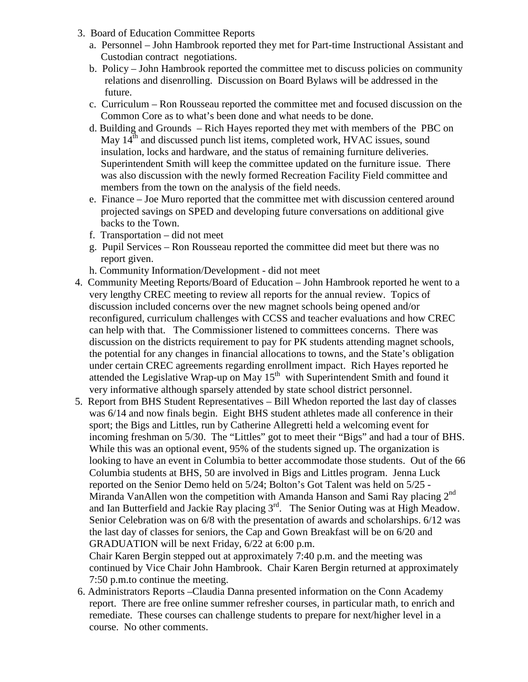- 3. Board of Education Committee Reports
	- a. Personnel John Hambrook reported they met for Part-time Instructional Assistant and Custodian contract negotiations.
	- b. Policy John Hambrook reported the committee met to discuss policies on community relations and disenrolling. Discussion on Board Bylaws will be addressed in the future.
	- c. Curriculum Ron Rousseau reported the committee met and focused discussion on the Common Core as to what's been done and what needs to be done.
	- d. Building and Grounds Rich Hayes reported they met with members of the PBC on May  $14<sup>th</sup>$  and discussed punch list items, completed work, HVAC issues, sound insulation, locks and hardware, and the status of remaining furniture deliveries. Superintendent Smith will keep the committee updated on the furniture issue. There was also discussion with the newly formed Recreation Facility Field committee and members from the town on the analysis of the field needs.
	- e. Finance Joe Muro reported that the committee met with discussion centered around projected savings on SPED and developing future conversations on additional give backs to the Town.
	- f. Transportation did not meet
	- g. Pupil Services Ron Rousseau reported the committee did meet but there was no report given.
	- h. Community Information/Development did not meet
- 4. Community Meeting Reports/Board of Education John Hambrook reported he went to a very lengthy CREC meeting to review all reports for the annual review. Topics of discussion included concerns over the new magnet schools being opened and/or reconfigured, curriculum challenges with CCSS and teacher evaluations and how CREC can help with that. The Commissioner listened to committees concerns. There was discussion on the districts requirement to pay for PK students attending magnet schools, the potential for any changes in financial allocations to towns, and the State's obligation under certain CREC agreements regarding enrollment impact. Rich Hayes reported he attended the Legislative Wrap-up on May  $15<sup>th</sup>$  with Superintendent Smith and found it very informative although sparsely attended by state school district personnel.
- 5. Report from BHS Student Representatives Bill Whedon reported the last day of classes was 6/14 and now finals begin. Eight BHS student athletes made all conference in their sport; the Bigs and Littles, run by Catherine Allegretti held a welcoming event for incoming freshman on 5/30. The "Littles" got to meet their "Bigs" and had a tour of BHS. While this was an optional event, 95% of the students signed up. The organization is looking to have an event in Columbia to better accommodate those students. Out of the 66 Columbia students at BHS, 50 are involved in Bigs and Littles program. Jenna Luck reported on the Senior Demo held on 5/24; Bolton's Got Talent was held on 5/25 - Miranda VanAllen won the competition with Amanda Hanson and Sami Ray placing  $2^{nd}$ and Ian Butterfield and Jackie Ray placing 3rd. The Senior Outing was at High Meadow. Senior Celebration was on 6/8 with the presentation of awards and scholarships. 6/12 was the last day of classes for seniors, the Cap and Gown Breakfast will be on 6/20 and GRADUATION will be next Friday, 6/22 at 6:00 p.m.

Chair Karen Bergin stepped out at approximately 7:40 p.m. and the meeting was continued by Vice Chair John Hambrook. Chair Karen Bergin returned at approximately 7:50 p.m.to continue the meeting.

 6. Administrators Reports –Claudia Danna presented information on the Conn Academy report. There are free online summer refresher courses, in particular math, to enrich and remediate. These courses can challenge students to prepare for next/higher level in a course. No other comments.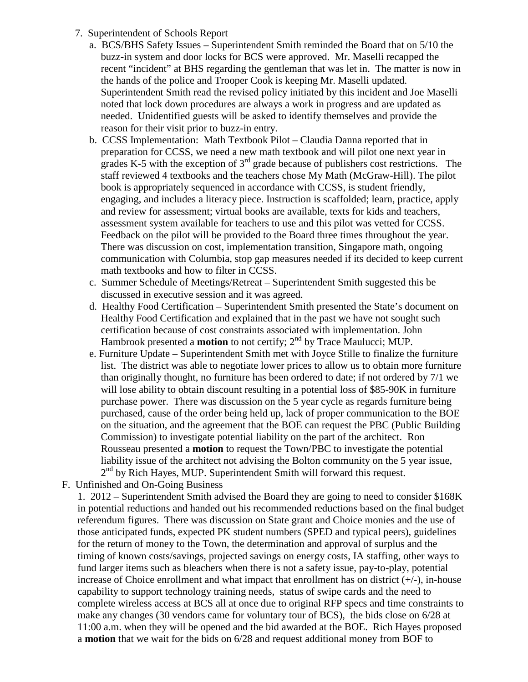- 7. Superintendent of Schools Report
	- a. BCS/BHS Safety Issues Superintendent Smith reminded the Board that on 5/10 the buzz-in system and door locks for BCS were approved. Mr. Maselli recapped the recent "incident" at BHS regarding the gentleman that was let in. The matter is now in the hands of the police and Trooper Cook is keeping Mr. Maselli updated. Superintendent Smith read the revised policy initiated by this incident and Joe Maselli noted that lock down procedures are always a work in progress and are updated as needed. Unidentified guests will be asked to identify themselves and provide the reason for their visit prior to buzz-in entry.
	- b. CCSS Implementation: Math Textbook Pilot Claudia Danna reported that in preparation for CCSS, we need a new math textbook and will pilot one next year in grades K-5 with the exception of  $3<sup>rd</sup>$  grade because of publishers cost restrictions. The staff reviewed 4 textbooks and the teachers chose My Math (McGraw-Hill). The pilot book is appropriately sequenced in accordance with CCSS, is student friendly, engaging, and includes a literacy piece. Instruction is scaffolded; learn, practice, apply and review for assessment; virtual books are available, texts for kids and teachers, assessment system available for teachers to use and this pilot was vetted for CCSS. Feedback on the pilot will be provided to the Board three times throughout the year. There was discussion on cost, implementation transition, Singapore math, ongoing communication with Columbia, stop gap measures needed if its decided to keep current math textbooks and how to filter in CCSS.
	- c. Summer Schedule of Meetings/Retreat Superintendent Smith suggested this be discussed in executive session and it was agreed.
	- d. Healthy Food Certification Superintendent Smith presented the State's document on Healthy Food Certification and explained that in the past we have not sought such certification because of cost constraints associated with implementation. John Hambrook presented a **motion** to not certify; 2<sup>nd</sup> by Trace Maulucci; MUP.
	- e. Furniture Update Superintendent Smith met with Joyce Stille to finalize the furniture list. The district was able to negotiate lower prices to allow us to obtain more furniture than originally thought, no furniture has been ordered to date; if not ordered by 7/1 we will lose ability to obtain discount resulting in a potential loss of \$85-90K in furniture purchase power. There was discussion on the 5 year cycle as regards furniture being purchased, cause of the order being held up, lack of proper communication to the BOE on the situation, and the agreement that the BOE can request the PBC (Public Building Commission) to investigate potential liability on the part of the architect. Ron Rousseau presented a **motion** to request the Town/PBC to investigate the potential liability issue of the architect not advising the Bolton community on the 5 year issue,  $2<sup>nd</sup>$  by Rich Hayes, MUP. Superintendent Smith will forward this request.
- F. Unfinished and On-Going Business

1. 2012 – Superintendent Smith advised the Board they are going to need to consider \$168K in potential reductions and handed out his recommended reductions based on the final budget referendum figures. There was discussion on State grant and Choice monies and the use of those anticipated funds, expected PK student numbers (SPED and typical peers), guidelines for the return of money to the Town, the determination and approval of surplus and the timing of known costs/savings, projected savings on energy costs, IA staffing, other ways to fund larger items such as bleachers when there is not a safety issue, pay-to-play, potential increase of Choice enrollment and what impact that enrollment has on district  $(+/-)$ , in-house capability to support technology training needs, status of swipe cards and the need to complete wireless access at BCS all at once due to original RFP specs and time constraints to make any changes (30 vendors came for voluntary tour of BCS), the bids close on 6/28 at 11:00 a.m. when they will be opened and the bid awarded at the BOE. Rich Hayes proposed a **motion** that we wait for the bids on 6/28 and request additional money from BOF to